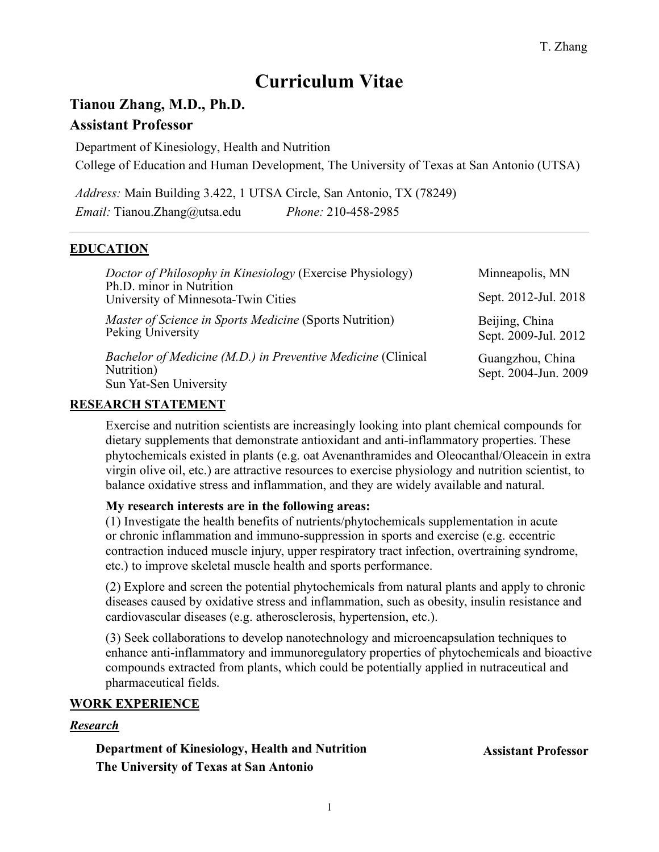# **Curriculum Vitae**

# **Tianou Zhang, M.D., Ph.D.**

# **Assistant Professor**

Department of Kinesiology, Health and Nutrition College of Education and Human Development, The University of Texas at San Antonio (UTSA)

*Address:* Main Building 3.422, 1 UTSA Circle, San Antonio, TX (78249) *Email:* Tianou.Zhang@utsa.edu *Phone:* 210-458-2985

# **EDUCATION**

| Doctor of Philosophy in Kinesiology (Exercise Physiology)<br>Ph.D. minor in Nutrition                | Minneapolis, MN                          |
|------------------------------------------------------------------------------------------------------|------------------------------------------|
| University of Minnesota-Twin Cities                                                                  | Sept. 2012-Jul. 2018                     |
| <i>Master of Science in Sports Medicine</i> (Sports Nutrition)<br>Peking University                  | Beijing, China<br>Sept. 2009-Jul. 2012   |
| Bachelor of Medicine (M.D.) in Preventive Medicine (Clinical<br>Nutrition)<br>Sun Yat-Sen University | Guangzhou, China<br>Sept. 2004-Jun. 2009 |

### **RESEARCH STATEMENT**

Exercise and nutrition scientists are increasingly looking into plant chemical compounds for dietary supplements that demonstrate antioxidant and anti-inflammatory properties. These phytochemicals existed in plants (e.g. oat Avenanthramides and Oleocanthal/Oleacein in extra virgin olive oil, etc.) are attractive resources to exercise physiology and nutrition scientist, to balance oxidative stress and inflammation, and they are widely available and natural.

# **My research interests are in the following areas:**

(1) Investigate the health benefits of nutrients/phytochemicals supplementation in acute or chronic inflammation and immuno-suppression in sports and exercise (e.g. eccentric contraction induced muscle injury, upper respiratory tract infection, overtraining syndrome, etc.) to improve skeletal muscle health and sports performance.

(2) Explore and screen the potential phytochemicals from natural plants and apply to chronic diseases caused by oxidative stress and inflammation, such as obesity, insulin resistance and cardiovascular diseases (e.g. atherosclerosis, hypertension, etc.).

(3) Seek collaborations to develop nanotechnology and microencapsulation techniques to enhance anti-inflammatory and immunoregulatory properties of phytochemicals and bioactive compounds extracted from plants, which could be potentially applied in nutraceutical and pharmaceutical fields.

# **WORK EXPERIENCE**

# *Research*

**Department of Kinesiology, Health and Nutrition The University of Texas at San Antonio**

**Assistant Professor**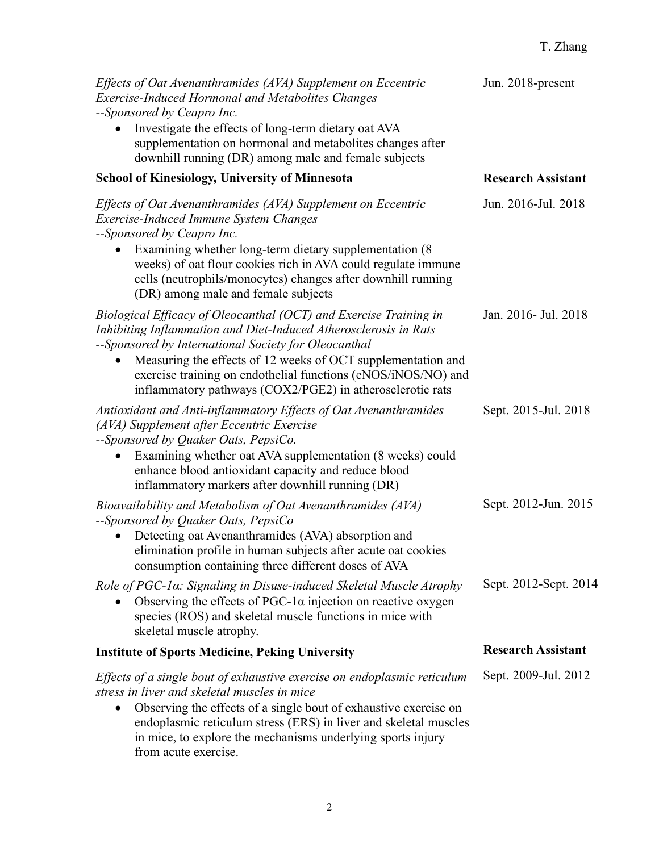# T. Zhang

| Effects of Oat Avenanthramides (AVA) Supplement on Eccentric<br><b>Exercise-Induced Hormonal and Metabolites Changes</b><br>--Sponsored by Ceapro Inc.                                                                                                                                                                                                                                                   | Jun. 2018-present         |
|----------------------------------------------------------------------------------------------------------------------------------------------------------------------------------------------------------------------------------------------------------------------------------------------------------------------------------------------------------------------------------------------------------|---------------------------|
| Investigate the effects of long-term dietary oat AVA<br>supplementation on hormonal and metabolites changes after<br>downhill running (DR) among male and female subjects                                                                                                                                                                                                                                |                           |
| <b>School of Kinesiology, University of Minnesota</b>                                                                                                                                                                                                                                                                                                                                                    | <b>Research Assistant</b> |
| Effects of Oat Avenanthramides (AVA) Supplement on Eccentric<br><b>Exercise-Induced Immune System Changes</b><br>--Sponsored by Ceapro Inc.<br>Examining whether long-term dietary supplementation (8)<br>weeks) of oat flour cookies rich in AVA could regulate immune<br>cells (neutrophils/monocytes) changes after downhill running<br>(DR) among male and female subjects                           | Jun. 2016-Jul. 2018       |
| Biological Efficacy of Oleocanthal (OCT) and Exercise Training in<br>Inhibiting Inflammation and Diet-Induced Atherosclerosis in Rats<br>--Sponsored by International Society for Oleocanthal<br>Measuring the effects of 12 weeks of OCT supplementation and<br>$\bullet$<br>exercise training on endothelial functions (eNOS/iNOS/NO) and<br>inflammatory pathways (COX2/PGE2) in atherosclerotic rats | Jan. 2016- Jul. 2018      |
| Antioxidant and Anti-inflammatory Effects of Oat Avenanthramides<br>(AVA) Supplement after Eccentric Exercise<br>--Sponsored by Quaker Oats, PepsiCo.<br>Examining whether oat AVA supplementation (8 weeks) could<br>enhance blood antioxidant capacity and reduce blood<br>inflammatory markers after downhill running (DR)                                                                            | Sept. 2015-Jul. 2018      |
| Bioavailability and Metabolism of Oat Avenanthramides (AVA)<br>--Sponsored by Quaker Oats, PepsiCo<br>Detecting oat Avenanthramides (AVA) absorption and<br>elimination profile in human subjects after acute oat cookies<br>consumption containing three different doses of AVA                                                                                                                         | Sept. 2012-Jun. 2015      |
| Role of PGC-1a: Signaling in Disuse-induced Skeletal Muscle Atrophy<br>Observing the effects of PGC-1 $\alpha$ injection on reactive oxygen<br>species (ROS) and skeletal muscle functions in mice with<br>skeletal muscle atrophy.                                                                                                                                                                      | Sept. 2012-Sept. 2014     |
| <b>Institute of Sports Medicine, Peking University</b>                                                                                                                                                                                                                                                                                                                                                   | <b>Research Assistant</b> |
| Effects of a single bout of exhaustive exercise on endoplasmic reticulum<br>stress in liver and skeletal muscles in mice<br>Observing the effects of a single bout of exhaustive exercise on<br>$\bullet$<br>endoplasmic reticulum stress (ERS) in liver and skeletal muscles<br>in mice, to explore the mechanisms underlying sports injury<br>from acute exercise.                                     | Sept. 2009-Jul. 2012      |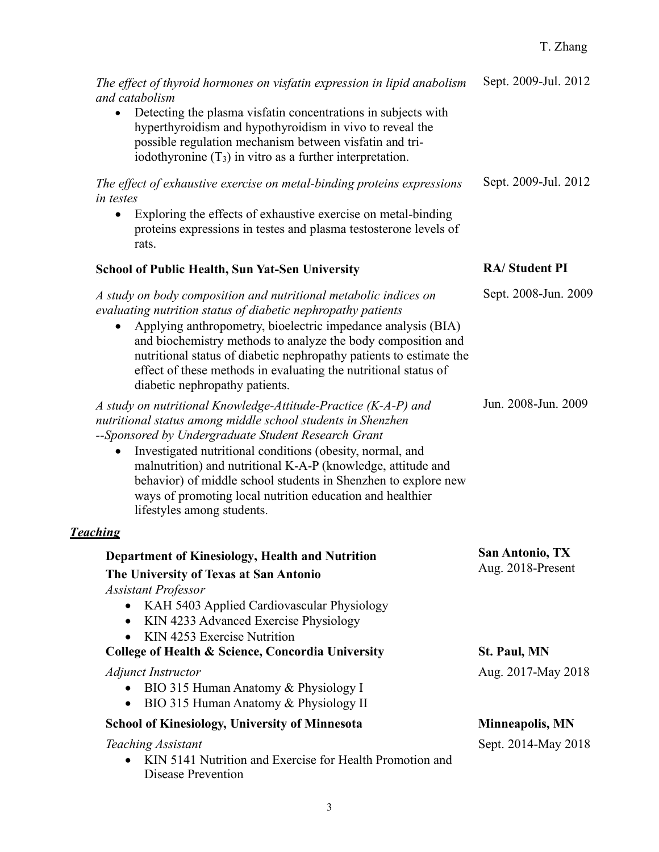# T. Zhang

| The effect of thyroid hormones on visfatin expression in lipid anabolism<br>and catabolism<br>Detecting the plasma visfatin concentrations in subjects with<br>$\bullet$<br>hyperthyroidism and hypothyroidism in vivo to reveal the<br>possible regulation mechanism between visfatin and tri-<br>iodothyronine $(T_3)$ in vitro as a further interpretation.                                                                                                                      | Sept. 2009-Jul. 2012                        |
|-------------------------------------------------------------------------------------------------------------------------------------------------------------------------------------------------------------------------------------------------------------------------------------------------------------------------------------------------------------------------------------------------------------------------------------------------------------------------------------|---------------------------------------------|
| The effect of exhaustive exercise on metal-binding proteins expressions<br>in testes<br>Exploring the effects of exhaustive exercise on metal-binding<br>$\bullet$<br>proteins expressions in testes and plasma testosterone levels of<br>rats.                                                                                                                                                                                                                                     | Sept. 2009-Jul. 2012                        |
| <b>School of Public Health, Sun Yat-Sen University</b>                                                                                                                                                                                                                                                                                                                                                                                                                              | <b>RA/Student PI</b>                        |
| A study on body composition and nutritional metabolic indices on<br>evaluating nutrition status of diabetic nephropathy patients<br>Applying anthropometry, bioelectric impedance analysis (BIA)<br>and biochemistry methods to analyze the body composition and<br>nutritional status of diabetic nephropathy patients to estimate the<br>effect of these methods in evaluating the nutritional status of<br>diabetic nephropathy patients.                                        | Sept. 2008-Jun. 2009                        |
| A study on nutritional Knowledge-Attitude-Practice (K-A-P) and<br>nutritional status among middle school students in Shenzhen<br>--Sponsored by Undergraduate Student Research Grant<br>Investigated nutritional conditions (obesity, normal, and<br>٠<br>malnutrition) and nutritional K-A-P (knowledge, attitude and<br>behavior) of middle school students in Shenzhen to explore new<br>ways of promoting local nutrition education and healthier<br>lifestyles among students. | Jun. 2008-Jun. 2009                         |
| <b>Teaching</b>                                                                                                                                                                                                                                                                                                                                                                                                                                                                     |                                             |
| Department of Kinesiology, Health and Nutrition<br>The University of Texas at San Antonio<br><b>Assistant Professor</b><br>KAH 5403 Applied Cardiovascular Physiology<br>$\bullet$<br>KIN 4233 Advanced Exercise Physiology<br>$\bullet$<br>KIN 4253 Exercise Nutrition<br>$\bullet$                                                                                                                                                                                                | <b>San Antonio, TX</b><br>Aug. 2018-Present |
| College of Health & Science, Concordia University                                                                                                                                                                                                                                                                                                                                                                                                                                   | <b>St. Paul, MN</b>                         |
| <i><b>Adjunct Instructor</b></i><br>BIO 315 Human Anatomy & Physiology I<br>$\bullet$<br>BIO 315 Human Anatomy & Physiology II<br>$\bullet$                                                                                                                                                                                                                                                                                                                                         | Aug. 2017-May 2018                          |
| <b>School of Kinesiology, University of Minnesota</b>                                                                                                                                                                                                                                                                                                                                                                                                                               | <b>Minneapolis, MN</b>                      |
| Teaching Assistant<br>KIN 5141 Nutrition and Exercise for Health Promotion and<br>Disease Prevention                                                                                                                                                                                                                                                                                                                                                                                | Sept. 2014-May 2018                         |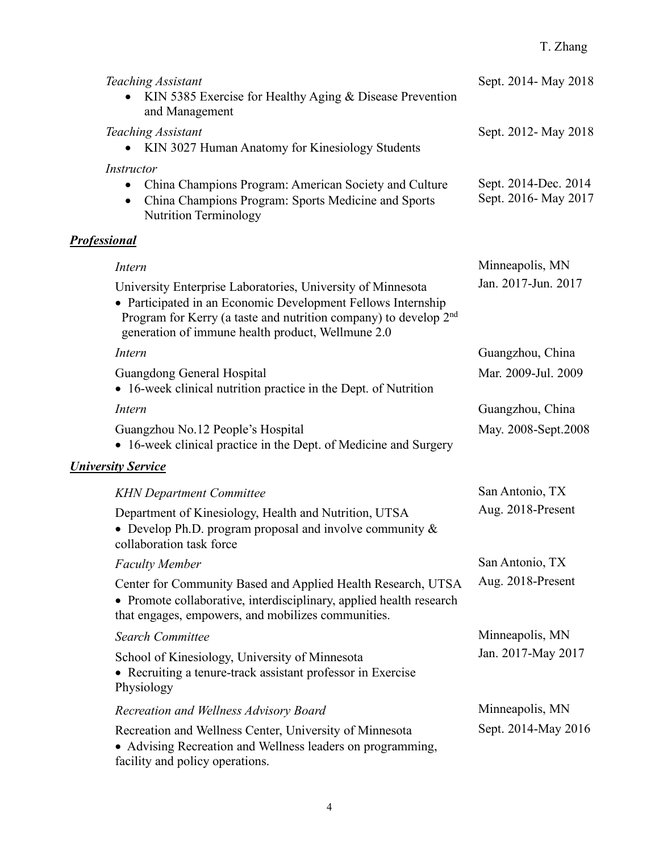# T. Zhang

| Teaching Assistant<br>KIN 5385 Exercise for Healthy Aging & Disease Prevention<br>and Management                                                                                                                                                                           | Sept. 2014- May 2018                         |
|----------------------------------------------------------------------------------------------------------------------------------------------------------------------------------------------------------------------------------------------------------------------------|----------------------------------------------|
| Teaching Assistant<br>KIN 3027 Human Anatomy for Kinesiology Students                                                                                                                                                                                                      | Sept. 2012- May 2018                         |
| <i>Instructor</i><br>China Champions Program: American Society and Culture<br>China Champions Program: Sports Medicine and Sports<br><b>Nutrition Terminology</b>                                                                                                          | Sept. 2014-Dec. 2014<br>Sept. 2016- May 2017 |
| <b>Professional</b>                                                                                                                                                                                                                                                        |                                              |
| Intern<br>University Enterprise Laboratories, University of Minnesota<br>• Participated in an Economic Development Fellows Internship<br>Program for Kerry (a taste and nutrition company) to develop 2 <sup>nd</sup><br>generation of immune health product, Wellmune 2.0 | Minneapolis, MN<br>Jan. 2017-Jun. 2017       |
| Intern                                                                                                                                                                                                                                                                     | Guangzhou, China                             |
| Guangdong General Hospital<br>• 16-week clinical nutrition practice in the Dept. of Nutrition                                                                                                                                                                              | Mar. 2009-Jul. 2009                          |
| Intern                                                                                                                                                                                                                                                                     | Guangzhou, China                             |
| Guangzhou No.12 People's Hospital<br>• 16-week clinical practice in the Dept. of Medicine and Surgery                                                                                                                                                                      | May. 2008-Sept.2008                          |
| <b>University Service</b>                                                                                                                                                                                                                                                  |                                              |
| <b>KHN</b> Department Committee                                                                                                                                                                                                                                            | San Antonio, TX                              |
| Department of Kinesiology, Health and Nutrition, UTSA<br>• Develop Ph.D. program proposal and involve community $\&$<br>collaboration task force                                                                                                                           | Aug. 2018-Present                            |
| <b>Faculty Member</b>                                                                                                                                                                                                                                                      | San Antonio, TX                              |
| Center for Community Based and Applied Health Research, UTSA<br>• Promote collaborative, interdisciplinary, applied health research<br>that engages, empowers, and mobilizes communities.                                                                                  | Aug. 2018-Present                            |
| <b>Search Committee</b>                                                                                                                                                                                                                                                    | Minneapolis, MN                              |
| School of Kinesiology, University of Minnesota<br>• Recruiting a tenure-track assistant professor in Exercise<br>Physiology                                                                                                                                                | Jan. 2017-May 2017                           |
| Recreation and Wellness Advisory Board                                                                                                                                                                                                                                     | Minneapolis, MN                              |
| Recreation and Wellness Center, University of Minnesota<br>• Advising Recreation and Wellness leaders on programming,<br>facility and policy operations.                                                                                                                   | Sept. 2014-May 2016                          |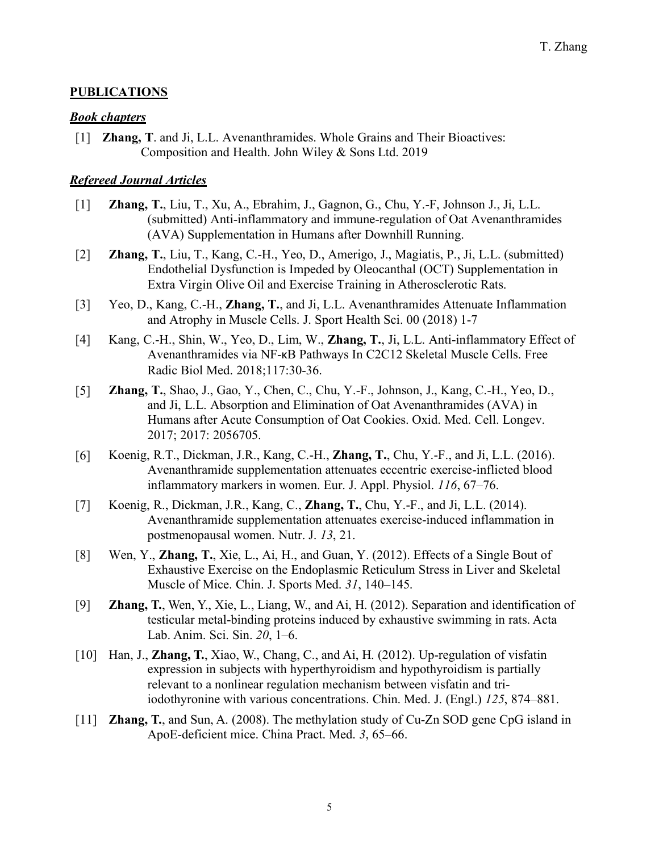### **PUBLICATIONS**

#### *Book chapters*

[1] **Zhang, T**. and Ji, L.L. Avenanthramides. Whole Grains and Their Bioactives: Composition and Health. John Wiley & Sons Ltd. 2019

### *Refereed Journal Articles*

- [1] **Zhang, T.**, Liu, T., Xu, A., Ebrahim, J., Gagnon, G., Chu, Y.-F, Johnson J., Ji, L.L. (submitted) Anti-inflammatory and immune-regulation of Oat Avenanthramides (AVA) Supplementation in Humans after Downhill Running.
- [2] **Zhang, T.**, Liu, T., Kang, C.-H., Yeo, D., Amerigo, J., Magiatis, P., Ji, L.L. (submitted) Endothelial Dysfunction is Impeded by Oleocanthal (OCT) Supplementation in Extra Virgin Olive Oil and Exercise Training in Atherosclerotic Rats.
- [3] Yeo, D., Kang, C.-H., **Zhang, T.**, and Ji, L.L. Avenanthramides Attenuate Inflammation and Atrophy in Muscle Cells. J. Sport Health Sci. 00 (2018) 1-7
- [4] Kang, C.-H., Shin, W., Yeo, D., Lim, W., **Zhang, T.**, Ji, L.L. Anti-inflammatory Effect of Avenanthramides via NF-κB Pathways In C2C12 Skeletal Muscle Cells. Free Radic Biol Med. 2018;117:30-36.
- [5] **Zhang, T.**, Shao, J., Gao, Y., Chen, C., Chu, Y.-F., Johnson, J., Kang, C.-H., Yeo, D., and Ji, L.L. Absorption and Elimination of Oat Avenanthramides (AVA) in Humans after Acute Consumption of Oat Cookies. Oxid. Med. Cell. Longev. 2017; 2017: 2056705.
- [6] Koenig, R.T., Dickman, J.R., Kang, C.-H., **Zhang, T.**, Chu, Y.-F., and Ji, L.L. (2016). Avenanthramide supplementation attenuates eccentric exercise-inflicted blood inflammatory markers in women. Eur. J. Appl. Physiol. *116*, 67–76.
- [7] Koenig, R., Dickman, J.R., Kang, C., **Zhang, T.**, Chu, Y.-F., and Ji, L.L. (2014). Avenanthramide supplementation attenuates exercise-induced inflammation in postmenopausal women. Nutr. J. *13*, 21.
- [8] Wen, Y., **Zhang, T.**, Xie, L., Ai, H., and Guan, Y. (2012). Effects of a Single Bout of Exhaustive Exercise on the Endoplasmic Reticulum Stress in Liver and Skeletal Muscle of Mice. Chin. J. Sports Med. *31*, 140–145.
- [9] **Zhang, T.**, Wen, Y., Xie, L., Liang, W., and Ai, H. (2012). Separation and identification of testicular metal-binding proteins induced by exhaustive swimming in rats. Acta Lab. Anim. Sci. Sin. *20*, 1–6.
- [10] Han, J., **Zhang, T.**, Xiao, W., Chang, C., and Ai, H. (2012). Up-regulation of visfatin expression in subjects with hyperthyroidism and hypothyroidism is partially relevant to a nonlinear regulation mechanism between visfatin and triiodothyronine with various concentrations. Chin. Med. J. (Engl.) *125*, 874–881.
- [11] **Zhang, T.**, and Sun, A. (2008). The methylation study of Cu-Zn SOD gene CpG island in ApoE-deficient mice. China Pract. Med. *3*, 65–66.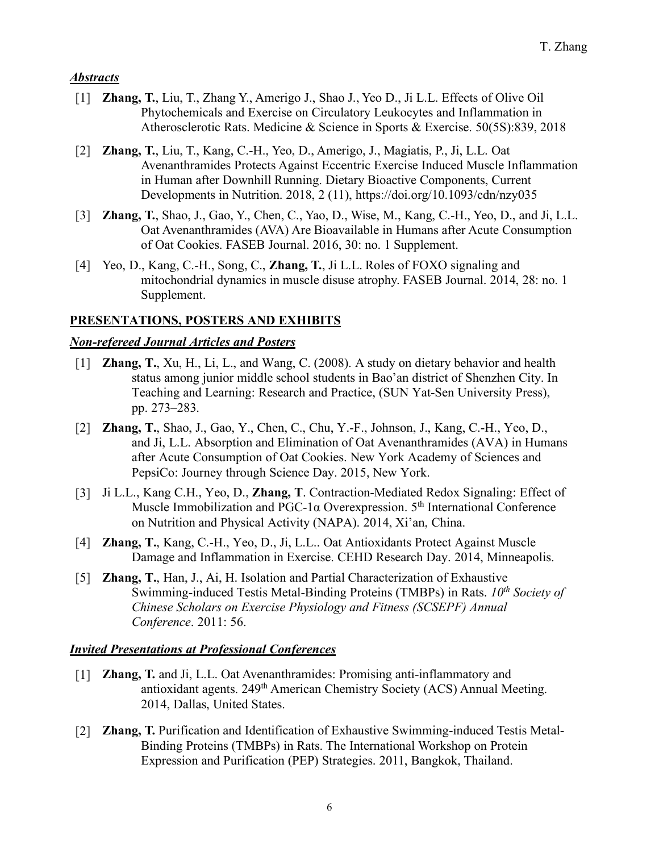### *Abstracts*

- [1] **Zhang, T.**, Liu, T., Zhang Y., Amerigo J., Shao J., Yeo D., Ji L.L. Effects of Olive Oil Phytochemicals and Exercise on Circulatory Leukocytes and Inflammation in Atherosclerotic Rats. Medicine & Science in Sports & Exercise. 50(5S):839, 2018
- [2] **Zhang, T.**, Liu, T., Kang, C.-H., Yeo, D., Amerigo, J., Magiatis, P., Ji, L.L. Oat Avenanthramides Protects Against Eccentric Exercise Induced Muscle Inflammation in Human after Downhill Running. Dietary Bioactive Components, Current Developments in Nutrition. 2018, 2 (11), https://doi.org/10.1093/cdn/nzy035
- [3] **Zhang, T.**, Shao, J., Gao, Y., Chen, C., Yao, D., Wise, M., Kang, C.-H., Yeo, D., and Ji, L.L. Oat Avenanthramides (AVA) Are Bioavailable in Humans after Acute Consumption of Oat Cookies. FASEB Journal. 2016, 30: no. 1 Supplement.
- [4] Yeo, D., Kang, C.-H., Song, C., **Zhang, T.**, Ji L.L. Roles of FOXO signaling and mitochondrial dynamics in muscle disuse atrophy. FASEB Journal. 2014, 28: no. 1 Supplement.

### **PRESENTATIONS, POSTERS AND EXHIBITS**

### *Non-refereed Journal Articles and Posters*

- [1] **Zhang, T.**, Xu, H., Li, L., and Wang, C. (2008). A study on dietary behavior and health status among junior middle school students in Bao'an district of Shenzhen City. In Teaching and Learning: Research and Practice, (SUN Yat-Sen University Press), pp. 273–283.
- [2] **Zhang, T.**, Shao, J., Gao, Y., Chen, C., Chu, Y.-F., Johnson, J., Kang, C.-H., Yeo, D., and Ji, L.L. Absorption and Elimination of Oat Avenanthramides (AVA) in Humans after Acute Consumption of Oat Cookies. New York Academy of Sciences and PepsiCo: Journey through Science Day. 2015, New York.
- [3] Ji L.L., Kang C.H., Yeo, D., **Zhang, T**. Contraction-Mediated Redox Signaling: Effect of Muscle Immobilization and PGC-1α Overexpression. 5<sup>th</sup> International Conference on Nutrition and Physical Activity (NAPA). 2014, Xi'an, China.
- [4] **Zhang, T.**, Kang, C.-H., Yeo, D., Ji, L.L.. Oat Antioxidants Protect Against Muscle Damage and Inflammation in Exercise. CEHD Research Day. 2014, Minneapolis.
- [5] **Zhang, T.**, Han, J., Ai, H. Isolation and Partial Characterization of Exhaustive Swimming-induced Testis Metal-Binding Proteins (TMBPs) in Rats. *10<sup>th</sup> Society of Chinese Scholars on Exercise Physiology and Fitness (SCSEPF) Annual Conference*. 2011: 56.

### *Invited Presentations at Professional Conferences*

- [1] **Zhang, T.** and Ji, L.L. Oat Avenanthramides: Promising anti-inflammatory and antioxidant agents. 249th American Chemistry Society (ACS) Annual Meeting. 2014, Dallas, United States.
- [2] **Zhang, T.** Purification and Identification of Exhaustive Swimming-induced Testis Metal-Binding Proteins (TMBPs) in Rats. The International Workshop on Protein Expression and Purification (PEP) Strategies. 2011, Bangkok, Thailand.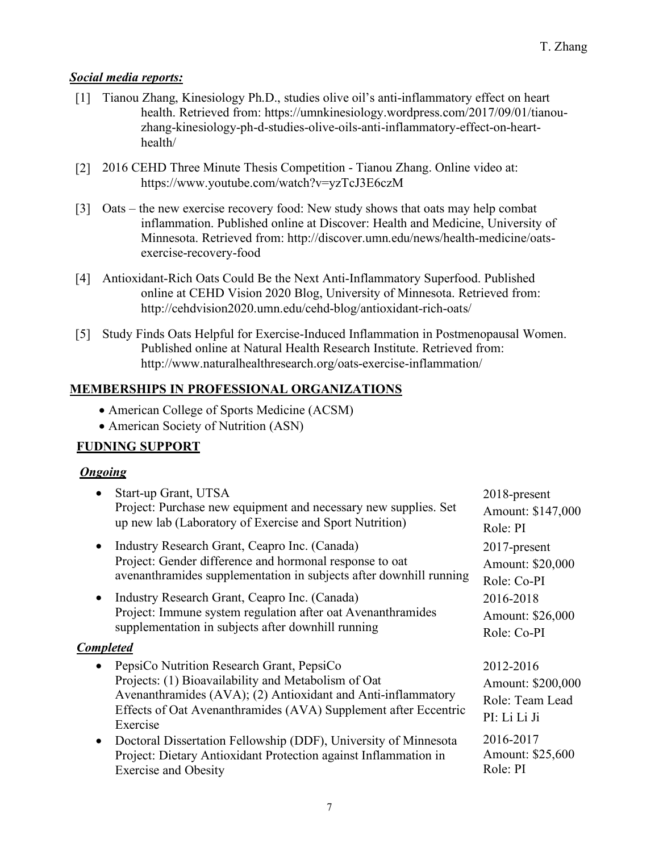### *Social media reports:*

- [1] Tianou Zhang, Kinesiology Ph.D., studies olive oil's anti-inflammatory effect on heart health. Retrieved from: https://umnkinesiology.wordpress.com/2017/09/01/tianouzhang-kinesiology-ph-d-studies-olive-oils-anti-inflammatory-effect-on-hearthealth/
- [2] 2016 CEHD Three Minute Thesis Competition Tianou Zhang. Online video at: https://www.youtube.com/watch?v=yzTcJ3E6czM
- [3] Oats the new exercise recovery food: New study shows that oats may help combat inflammation. Published online at Discover: Health and Medicine, University of Minnesota. Retrieved from: http://discover.umn.edu/news/health-medicine/oatsexercise-recovery-food
- [4] Antioxidant-Rich Oats Could Be the Next Anti-Inflammatory Superfood. Published online at CEHD Vision 2020 Blog, University of Minnesota. Retrieved from: http://cehdvision2020.umn.edu/cehd-blog/antioxidant-rich-oats/
- [5] Study Finds Oats Helpful for Exercise-Induced Inflammation in Postmenopausal Women. Published online at Natural Health Research Institute. Retrieved from: http://www.naturalhealthresearch.org/oats-exercise-inflammation/

### **MEMBERSHIPS IN PROFESSIONAL ORGANIZATIONS**

- American College of Sports Medicine (ACSM)
- American Society of Nutrition (ASN)

# **FUDNING SUPPORT**

### *Ongoing*

|                                                                    | • Start-up Grant, UTSA<br>Project: Purchase new equipment and necessary new supplies. Set                                                                                                                                                         | 2018-present<br>Amount: \$147,000                                 |
|--------------------------------------------------------------------|---------------------------------------------------------------------------------------------------------------------------------------------------------------------------------------------------------------------------------------------------|-------------------------------------------------------------------|
|                                                                    | up new lab (Laboratory of Exercise and Sport Nutrition)                                                                                                                                                                                           | Role: PI                                                          |
| $\bullet$                                                          | Industry Research Grant, Ceapro Inc. (Canada)<br>Project: Gender difference and hormonal response to oat                                                                                                                                          | $2017$ -present<br>Amount: \$20,000                               |
| avenanthramides supplementation in subjects after downhill running |                                                                                                                                                                                                                                                   | Role: Co-PI                                                       |
| $\bullet$                                                          | Industry Research Grant, Ceapro Inc. (Canada)                                                                                                                                                                                                     | 2016-2018                                                         |
|                                                                    | Project: Immune system regulation after oat Avenanthramides                                                                                                                                                                                       | Amount: \$26,000                                                  |
|                                                                    | supplementation in subjects after downhill running                                                                                                                                                                                                | Role: Co-PI                                                       |
| <b>Completed</b>                                                   |                                                                                                                                                                                                                                                   |                                                                   |
|                                                                    | • PepsiCo Nutrition Research Grant, PepsiCo<br>Projects: (1) Bioavailability and Metabolism of Oat<br>Avenanthramides (AVA); (2) Antioxidant and Anti-inflammatory<br>Effects of Oat Avenanthramides (AVA) Supplement after Eccentric<br>Exercise | 2012-2016<br>Amount: \$200,000<br>Role: Team Lead<br>PI: Li Li Ji |
|                                                                    | • Doctoral Dissertation Fellowship (DDF), University of Minnesota<br>Project: Dietary Antioxidant Protection against Inflammation in<br><b>Exercise and Obesity</b>                                                                               | 2016-2017<br>Amount: \$25,600<br>Role: PI                         |